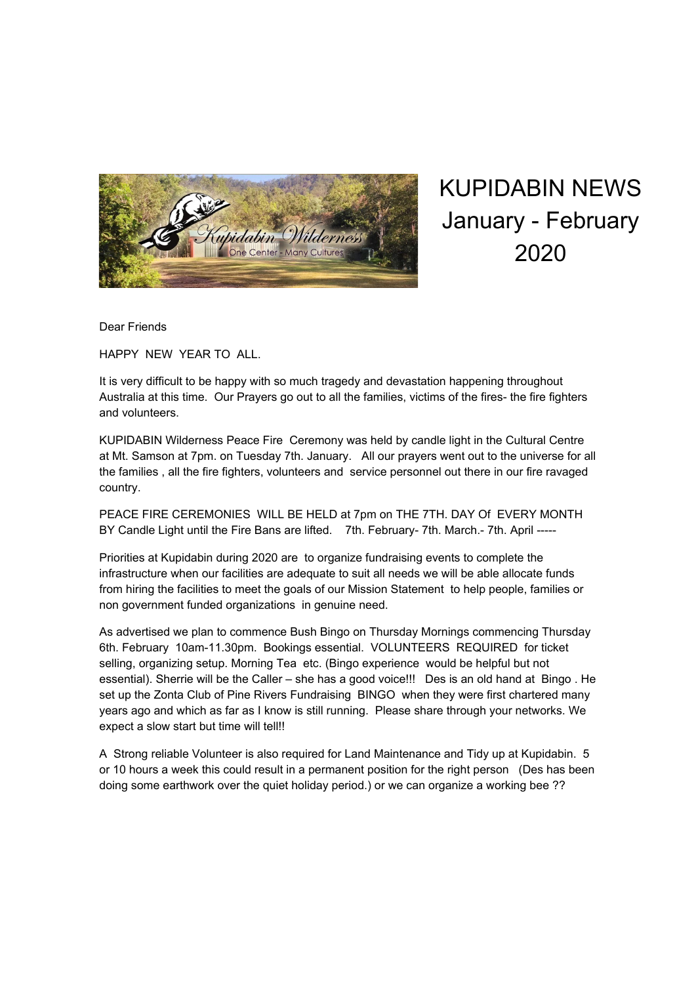

KUPIDABIN NEWS January - February 2020

Dear Friends

HAPPY NEW YEAR TO ALL.

It is very difficult to be happy with so much tragedy and devastation happening throughout Australia at this time. Our Prayers go out to all the families, victims of the fires- the fire fighters and volunteers.

KUPIDABIN Wilderness Peace Fire Ceremony was held by candle light in the Cultural Centre at Mt. Samson at 7pm. on Tuesday 7th. January. All our prayers went out to the universe for all the families , all the fire fighters, volunteers and service personnel out there in our fire ravaged country.

PEACE FIRE CEREMONIES WILL BE HELD at 7pm on THE 7TH. DAY Of EVERY MONTH BY Candle Light until the Fire Bans are lifted. 7th. February- 7th. March.- 7th. April -----

Priorities at Kupidabin during 2020 are to organize fundraising events to complete the infrastructure when our facilities are adequate to suit all needs we will be able allocate funds from hiring the facilities to meet the goals of our Mission Statement to help people, families or non government funded organizations in genuine need.

As advertised we plan to commence Bush Bingo on Thursday Mornings commencing Thursday 6th. February 10am-11.30pm. Bookings essential. VOLUNTEERS REQUIRED for ticket selling, organizing setup. Morning Tea etc. (Bingo experience would be helpful but not essential). Sherrie will be the Caller – she has a good voice!!! Des is an old hand at Bingo . He set up the Zonta Club of Pine Rivers Fundraising BINGO when they were first chartered many years ago and which as far as I know is still running. Please share through your networks. We expect a slow start but time will tell!!

A Strong reliable Volunteer is also required for Land Maintenance and Tidy up at Kupidabin. 5 or 10 hours a week this could result in a permanent position for the right person (Des has been doing some earthwork over the quiet holiday period.) or we can organize a working bee ??